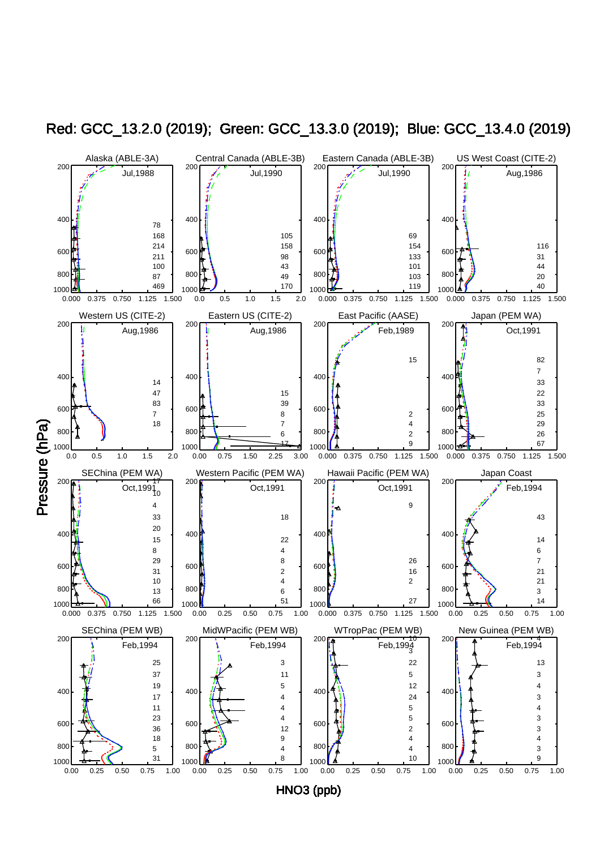

Red: GCC\_13.2.0 (2019); Green: GCC\_13.3.0 (2019); Blue: GCC\_13.4.0 (2019)

HNO3 (ppb)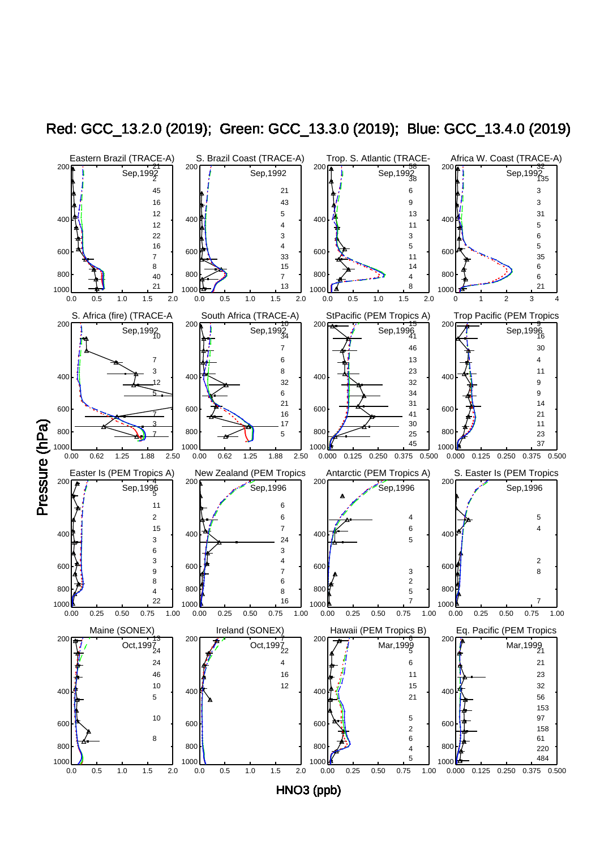

Red: GCC\_13.2.0 (2019); Green: GCC\_13.3.0 (2019); Blue: GCC\_13.4.0 (2019)

HNO3 (ppb)